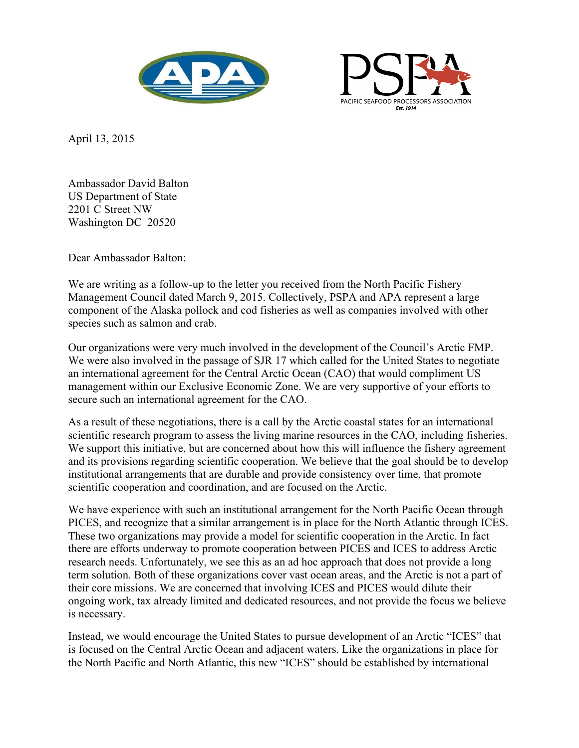



April 13, 2015

Ambassador David Balton US Department of State 2201 C Street NW Washington DC 20520

Dear Ambassador Balton:

We are writing as a follow-up to the letter you received from the North Pacific Fishery Management Council dated March 9, 2015. Collectively, PSPA and APA represent a large component of the Alaska pollock and cod fisheries as well as companies involved with other species such as salmon and crab.

Our organizations were very much involved in the development of the Council's Arctic FMP. We were also involved in the passage of SJR 17 which called for the United States to negotiate an international agreement for the Central Arctic Ocean (CAO) that would compliment US management within our Exclusive Economic Zone. We are very supportive of your efforts to secure such an international agreement for the CAO.

As a result of these negotiations, there is a call by the Arctic coastal states for an international scientific research program to assess the living marine resources in the CAO, including fisheries. We support this initiative, but are concerned about how this will influence the fishery agreement and its provisions regarding scientific cooperation. We believe that the goal should be to develop institutional arrangements that are durable and provide consistency over time, that promote scientific cooperation and coordination, and are focused on the Arctic.

We have experience with such an institutional arrangement for the North Pacific Ocean through PICES, and recognize that a similar arrangement is in place for the North Atlantic through ICES. These two organizations may provide a model for scientific cooperation in the Arctic. In fact there are efforts underway to promote cooperation between PICES and ICES to address Arctic research needs. Unfortunately, we see this as an ad hoc approach that does not provide a long term solution. Both of these organizations cover vast ocean areas, and the Arctic is not a part of their core missions. We are concerned that involving ICES and PICES would dilute their ongoing work, tax already limited and dedicated resources, and not provide the focus we believe is necessary.

Instead, we would encourage the United States to pursue development of an Arctic "ICES" that is focused on the Central Arctic Ocean and adjacent waters. Like the organizations in place for the North Pacific and North Atlantic, this new "ICES" should be established by international